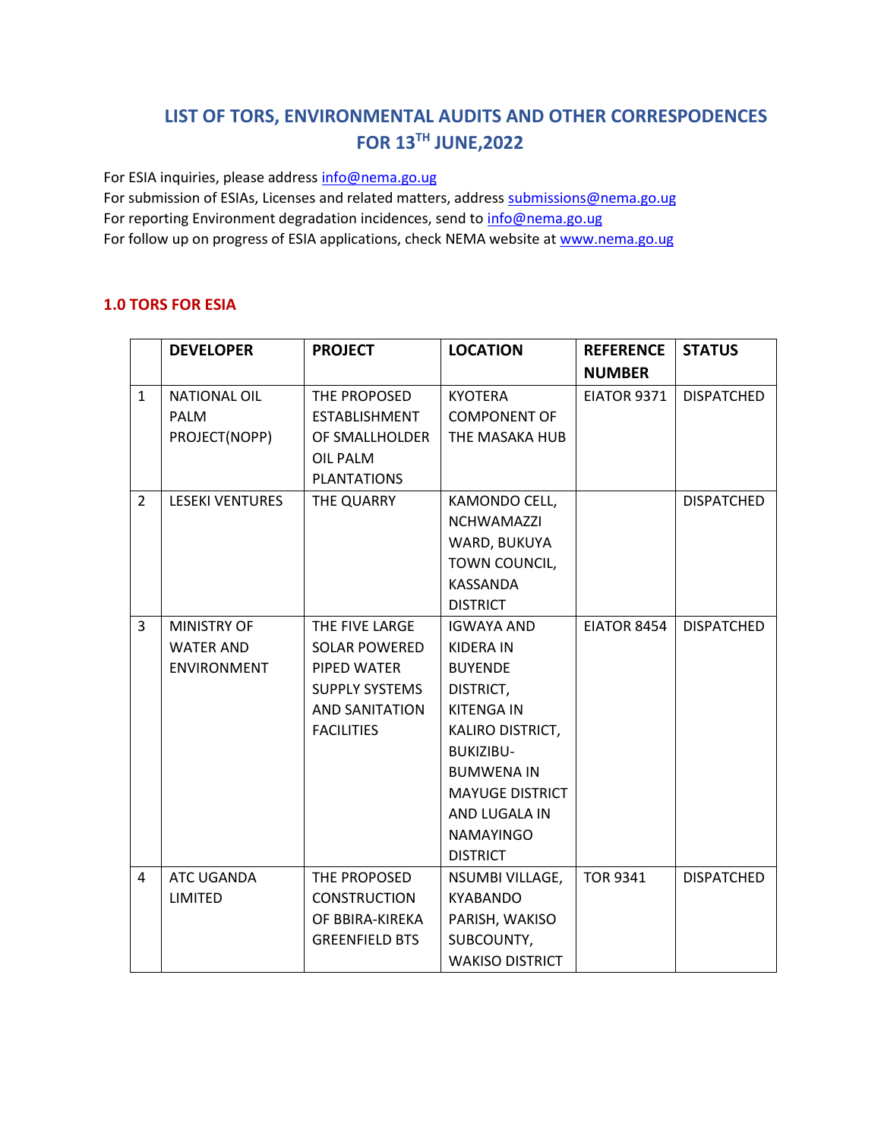# **LIST OF TORS, ENVIRONMENTAL AUDITS AND OTHER CORRESPODENCES FOR 13TH JUNE,2022**

For ESIA inquiries, please addres[s info@nema.go.ug](mailto:info@nema.go.ug)

For submission of ESIAs, Licenses and related matters, address [submissions@nema.go.ug](mailto:submissions@nema.go.ug) For reporting Environment degradation incidences, send t[o info@nema.go.ug](mailto:info@nema.go.ug) For follow up on progress of ESIA applications, check NEMA website at [www.nema.go.ug](http://www.nema.go.ug/)

#### **1.0 TORS FOR ESIA**

|                | <b>DEVELOPER</b>       | <b>PROJECT</b>        | <b>LOCATION</b>        | <b>REFERENCE</b> | <b>STATUS</b>     |
|----------------|------------------------|-----------------------|------------------------|------------------|-------------------|
|                |                        |                       |                        | <b>NUMBER</b>    |                   |
| $\mathbf{1}$   | <b>NATIONAL OIL</b>    | THE PROPOSED          | <b>KYOTERA</b>         | EIATOR 9371      | <b>DISPATCHED</b> |
|                | <b>PALM</b>            | ESTABLISHMENT         | <b>COMPONENT OF</b>    |                  |                   |
|                | PROJECT(NOPP)          | OF SMALLHOLDER        | THE MASAKA HUB         |                  |                   |
|                |                        | <b>OIL PALM</b>       |                        |                  |                   |
|                |                        | <b>PLANTATIONS</b>    |                        |                  |                   |
| $\overline{2}$ | <b>LESEKI VENTURES</b> | THE QUARRY            | KAMONDO CELL,          |                  | <b>DISPATCHED</b> |
|                |                        |                       | <b>NCHWAMAZZI</b>      |                  |                   |
|                |                        |                       | WARD, BUKUYA           |                  |                   |
|                |                        |                       | TOWN COUNCIL,          |                  |                   |
|                |                        |                       | KASSANDA               |                  |                   |
|                |                        |                       | <b>DISTRICT</b>        |                  |                   |
| $\overline{3}$ | <b>MINISTRY OF</b>     | THE FIVE LARGE        | <b>IGWAYA AND</b>      | EIATOR 8454      | <b>DISPATCHED</b> |
|                | <b>WATER AND</b>       | <b>SOLAR POWERED</b>  | <b>KIDERA IN</b>       |                  |                   |
|                | <b>ENVIRONMENT</b>     | PIPED WATER           | <b>BUYENDE</b>         |                  |                   |
|                |                        | <b>SUPPLY SYSTEMS</b> | DISTRICT,              |                  |                   |
|                |                        | <b>AND SANITATION</b> | <b>KITENGA IN</b>      |                  |                   |
|                |                        | <b>FACILITIES</b>     | KALIRO DISTRICT,       |                  |                   |
|                |                        |                       | <b>BUKIZIBU-</b>       |                  |                   |
|                |                        |                       | <b>BUMWENA IN</b>      |                  |                   |
|                |                        |                       | <b>MAYUGE DISTRICT</b> |                  |                   |
|                |                        |                       | AND LUGALA IN          |                  |                   |
|                |                        |                       | <b>NAMAYINGO</b>       |                  |                   |
|                |                        |                       | <b>DISTRICT</b>        |                  |                   |
| 4              | ATC UGANDA             | THE PROPOSED          | <b>NSUMBI VILLAGE,</b> | <b>TOR 9341</b>  | <b>DISPATCHED</b> |
|                | LIMITED                | <b>CONSTRUCTION</b>   | <b>KYABANDO</b>        |                  |                   |
|                |                        | OF BBIRA-KIREKA       | PARISH, WAKISO         |                  |                   |
|                |                        | <b>GREENFIELD BTS</b> | SUBCOUNTY,             |                  |                   |
|                |                        |                       | <b>WAKISO DISTRICT</b> |                  |                   |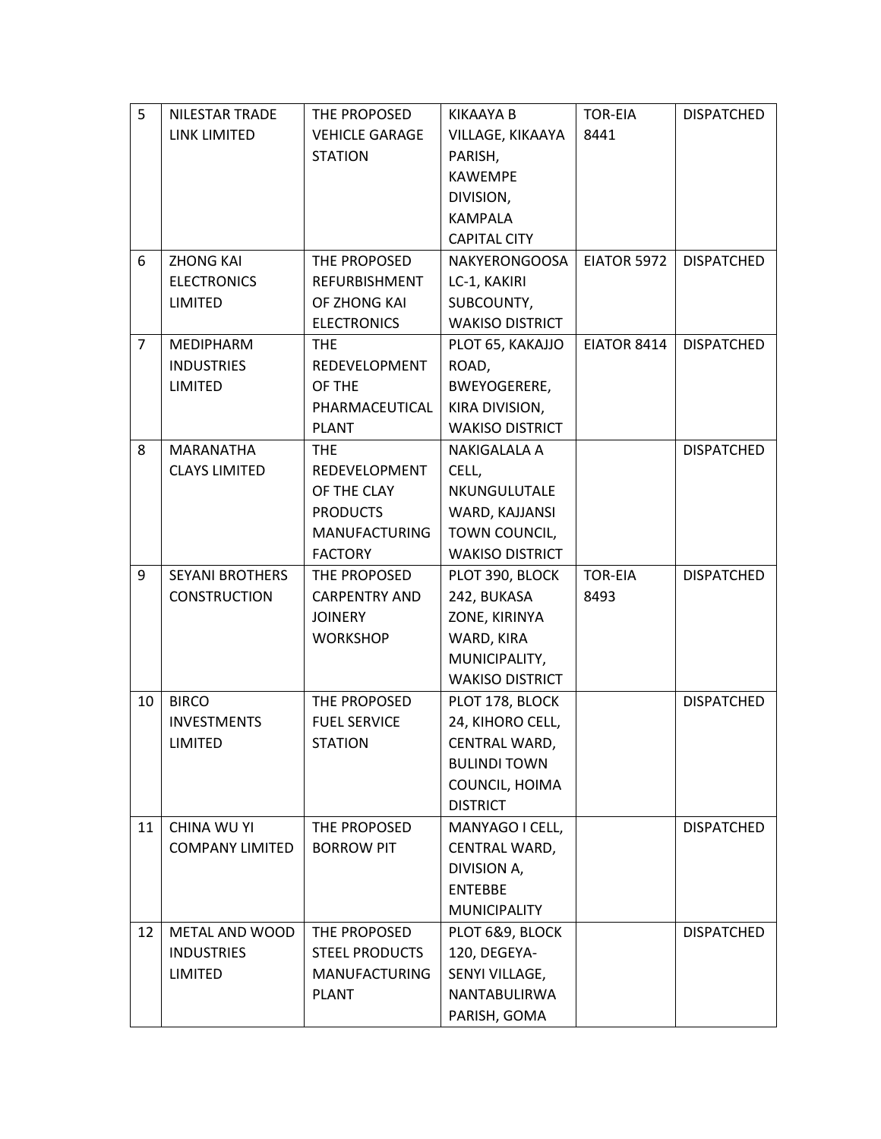| 5              | <b>NILESTAR TRADE</b>  | THE PROPOSED          | <b>KIKAAYA B</b>       | <b>TOR-EIA</b> | <b>DISPATCHED</b> |
|----------------|------------------------|-----------------------|------------------------|----------------|-------------------|
|                | LINK LIMITED           | <b>VEHICLE GARAGE</b> | VILLAGE, KIKAAYA       | 8441           |                   |
|                |                        | <b>STATION</b>        | PARISH,                |                |                   |
|                |                        |                       | <b>KAWEMPE</b>         |                |                   |
|                |                        |                       | DIVISION,              |                |                   |
|                |                        |                       | <b>KAMPALA</b>         |                |                   |
|                |                        |                       | <b>CAPITAL CITY</b>    |                |                   |
| 6              | <b>ZHONG KAI</b>       | THE PROPOSED          | <b>NAKYERONGOOSA</b>   | EIATOR 5972    | <b>DISPATCHED</b> |
|                | <b>ELECTRONICS</b>     | <b>REFURBISHMENT</b>  | LC-1, KAKIRI           |                |                   |
|                | <b>LIMITED</b>         | OF ZHONG KAI          | SUBCOUNTY,             |                |                   |
|                |                        | <b>ELECTRONICS</b>    | <b>WAKISO DISTRICT</b> |                |                   |
| $\overline{7}$ | <b>MEDIPHARM</b>       | <b>THE</b>            | PLOT 65, KAKAJJO       | EIATOR 8414    | <b>DISPATCHED</b> |
|                | <b>INDUSTRIES</b>      | REDEVELOPMENT         | ROAD,                  |                |                   |
|                | <b>LIMITED</b>         | OF THE                | BWEYOGERERE,           |                |                   |
|                |                        | PHARMACEUTICAL        | KIRA DIVISION,         |                |                   |
|                |                        | <b>PLANT</b>          | <b>WAKISO DISTRICT</b> |                |                   |
| 8              | <b>MARANATHA</b>       | <b>THE</b>            | NAKIGALALA A           |                | <b>DISPATCHED</b> |
|                | <b>CLAYS LIMITED</b>   | REDEVELOPMENT         | CELL,                  |                |                   |
|                |                        | OF THE CLAY           | NKUNGULUTALE           |                |                   |
|                |                        | <b>PRODUCTS</b>       | WARD, KAJJANSI         |                |                   |
|                |                        | <b>MANUFACTURING</b>  | TOWN COUNCIL,          |                |                   |
|                |                        | <b>FACTORY</b>        | <b>WAKISO DISTRICT</b> |                |                   |
| 9              | <b>SEYANI BROTHERS</b> | THE PROPOSED          | PLOT 390, BLOCK        | <b>TOR-EIA</b> | <b>DISPATCHED</b> |
|                | <b>CONSTRUCTION</b>    | <b>CARPENTRY AND</b>  | 242, BUKASA            | 8493           |                   |
|                |                        | <b>JOINERY</b>        | ZONE, KIRINYA          |                |                   |
|                |                        | <b>WORKSHOP</b>       | WARD, KIRA             |                |                   |
|                |                        |                       | MUNICIPALITY,          |                |                   |
|                |                        |                       | <b>WAKISO DISTRICT</b> |                |                   |
| 10             | <b>BIRCO</b>           | THE PROPOSED          | PLOT 178, BLOCK        |                | <b>DISPATCHED</b> |
|                | <b>INVESTMENTS</b>     | <b>FUEL SERVICE</b>   | 24, KIHORO CELL,       |                |                   |
|                | LIMITED                | <b>STATION</b>        | CENTRAL WARD,          |                |                   |
|                |                        |                       | <b>BULINDI TOWN</b>    |                |                   |
|                |                        |                       | COUNCIL, HOIMA         |                |                   |
|                |                        |                       | <b>DISTRICT</b>        |                |                   |
| 11             | CHINA WU YI            | THE PROPOSED          | MANYAGO I CELL,        |                | <b>DISPATCHED</b> |
|                | <b>COMPANY LIMITED</b> | <b>BORROW PIT</b>     | CENTRAL WARD,          |                |                   |
|                |                        |                       | DIVISION A,            |                |                   |
|                |                        |                       | <b>ENTEBBE</b>         |                |                   |
|                |                        |                       | <b>MUNICIPALITY</b>    |                |                   |
| 12             | METAL AND WOOD         | THE PROPOSED          | PLOT 6&9, BLOCK        |                | <b>DISPATCHED</b> |
|                | <b>INDUSTRIES</b>      | <b>STEEL PRODUCTS</b> | 120, DEGEYA-           |                |                   |
|                | <b>LIMITED</b>         | <b>MANUFACTURING</b>  | SENYI VILLAGE,         |                |                   |
|                |                        | <b>PLANT</b>          | NANTABULIRWA           |                |                   |
|                |                        |                       | PARISH, GOMA           |                |                   |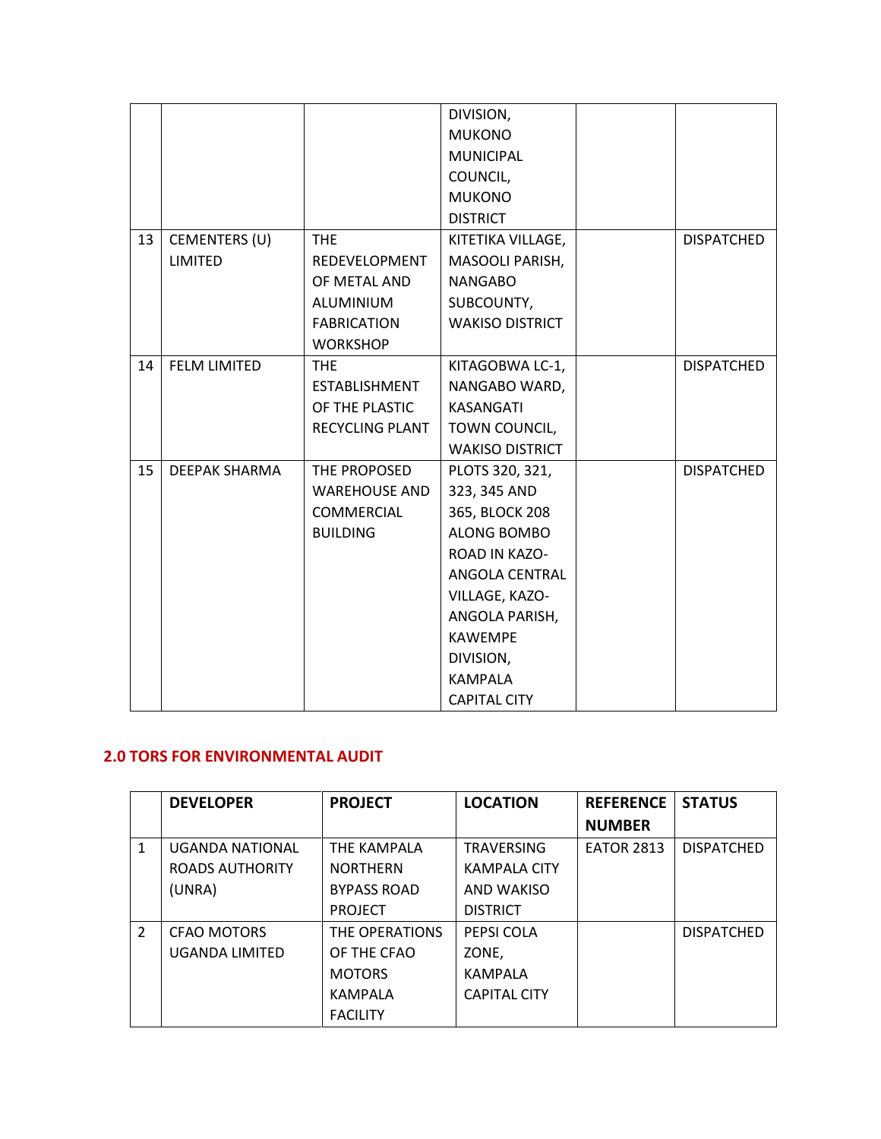|    |                     |                        | DIVISION,              |                   |
|----|---------------------|------------------------|------------------------|-------------------|
|    |                     |                        | <b>MUKONO</b>          |                   |
|    |                     |                        | <b>MUNICIPAL</b>       |                   |
|    |                     |                        | COUNCIL,               |                   |
|    |                     |                        | <b>MUKONO</b>          |                   |
|    |                     |                        | <b>DISTRICT</b>        |                   |
| 13 | CEMENTERS (U)       | <b>THE</b>             | KITETIKA VILLAGE,      | <b>DISPATCHED</b> |
|    | LIMITED             | REDEVELOPMENT          | MASOOLI PARISH,        |                   |
|    |                     | OF METAL AND           | <b>NANGABO</b>         |                   |
|    |                     | ALUMINIUM              | SUBCOUNTY,             |                   |
|    |                     | <b>FABRICATION</b>     | <b>WAKISO DISTRICT</b> |                   |
|    |                     | <b>WORKSHOP</b>        |                        |                   |
| 14 | <b>FELM LIMITED</b> | THE.                   | KITAGOBWA LC-1,        | <b>DISPATCHED</b> |
|    |                     | ESTABLISHMENT          | NANGABO WARD,          |                   |
|    |                     | OF THE PLASTIC         | KASANGATI              |                   |
|    |                     | <b>RECYCLING PLANT</b> | TOWN COUNCIL,          |                   |
|    |                     |                        | <b>WAKISO DISTRICT</b> |                   |
| 15 | DEEPAK SHARMA       | THE PROPOSED           | PLOTS 320, 321,        | <b>DISPATCHED</b> |
|    |                     | <b>WAREHOUSE AND</b>   | 323, 345 AND           |                   |
|    |                     | COMMERCIAL             | 365, BLOCK 208         |                   |
|    |                     | <b>BUILDING</b>        | ALONG BOMBO            |                   |
|    |                     |                        | ROAD IN KAZO-          |                   |
|    |                     |                        | ANGOLA CENTRAL         |                   |
|    |                     |                        | VILLAGE, KAZO-         |                   |
|    |                     |                        | ANGOLA PARISH,         |                   |
|    |                     |                        | <b>KAWEMPE</b>         |                   |
|    |                     |                        | DIVISION,              |                   |
|    |                     |                        | <b>KAMPALA</b>         |                   |
|    |                     |                        | <b>CAPITAL CITY</b>    |                   |

# **2.0 TORS FOR ENVIRONMENTAL AUDIT**

|               | <b>DEVELOPER</b>   | <b>PROJECT</b>     | <b>LOCATION</b>     | <b>REFERENCE</b>  | <b>STATUS</b>     |
|---------------|--------------------|--------------------|---------------------|-------------------|-------------------|
|               |                    |                    |                     | <b>NUMBER</b>     |                   |
| 1             | UGANDA NATIONAL    | THE KAMPALA        | <b>TRAVERSING</b>   | <b>EATOR 2813</b> | <b>DISPATCHED</b> |
|               | ROADS AUTHORITY    | <b>NORTHERN</b>    | <b>KAMPALA CITY</b> |                   |                   |
|               | (UNRA)             | <b>BYPASS ROAD</b> | AND WAKISO          |                   |                   |
|               |                    | <b>PROJECT</b>     | <b>DISTRICT</b>     |                   |                   |
| $\mathcal{P}$ | <b>CFAO MOTORS</b> | THE OPERATIONS     | PEPSI COLA          |                   | <b>DISPATCHED</b> |
|               | UGANDA LIMITED     | OF THE CFAO        | ZONE.               |                   |                   |
|               |                    | <b>MOTORS</b>      | <b>KAMPALA</b>      |                   |                   |
|               |                    | KAMPALA            | <b>CAPITAL CITY</b> |                   |                   |
|               |                    | <b>FACILITY</b>    |                     |                   |                   |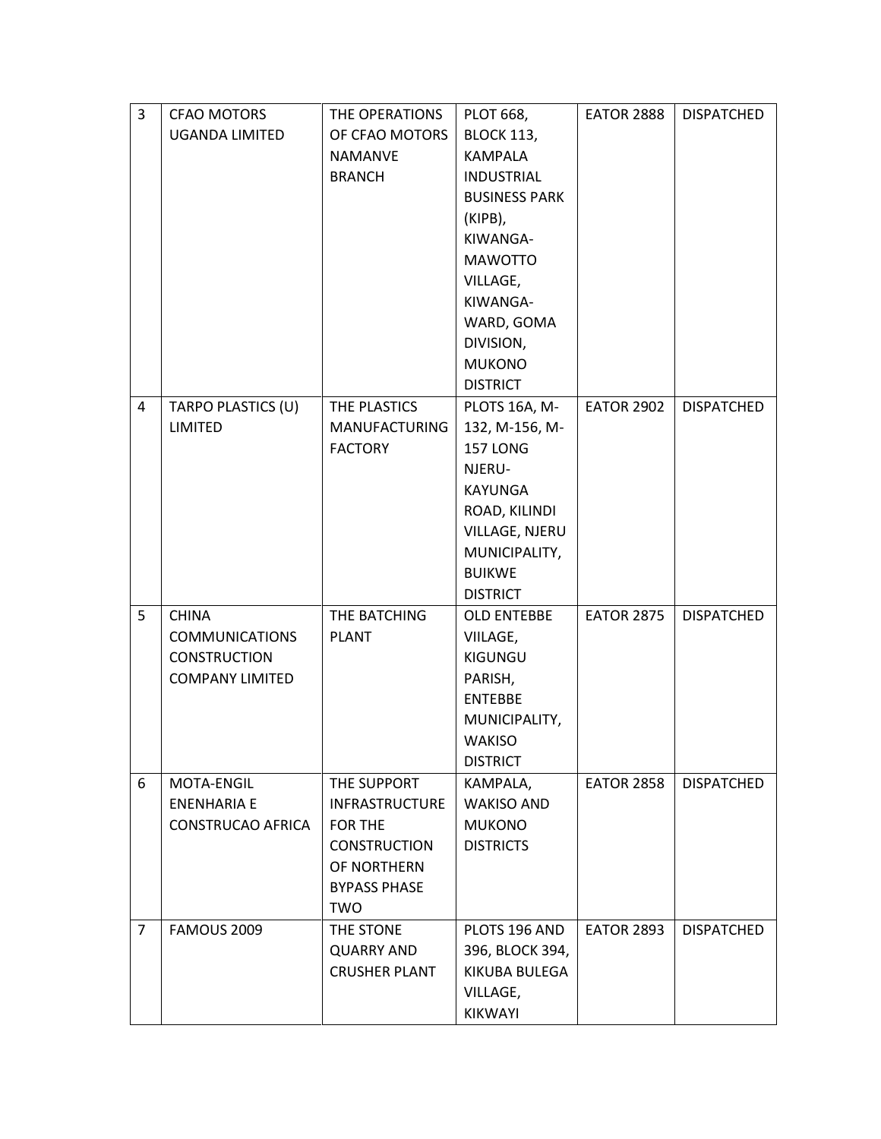| $\overline{3}$ | <b>CFAO MOTORS</b>       | THE OPERATIONS        | <b>PLOT 668,</b>               | <b>EATOR 2888</b> | <b>DISPATCHED</b> |
|----------------|--------------------------|-----------------------|--------------------------------|-------------------|-------------------|
|                | <b>UGANDA LIMITED</b>    | OF CFAO MOTORS        | <b>BLOCK 113,</b>              |                   |                   |
|                |                          | <b>NAMANVE</b>        | <b>KAMPALA</b>                 |                   |                   |
|                |                          | <b>BRANCH</b>         | <b>INDUSTRIAL</b>              |                   |                   |
|                |                          |                       | <b>BUSINESS PARK</b>           |                   |                   |
|                |                          |                       | (KIPB),                        |                   |                   |
|                |                          |                       | KIWANGA-                       |                   |                   |
|                |                          |                       | <b>MAWOTTO</b>                 |                   |                   |
|                |                          |                       | VILLAGE,                       |                   |                   |
|                |                          |                       | KIWANGA-                       |                   |                   |
|                |                          |                       | WARD, GOMA                     |                   |                   |
|                |                          |                       | DIVISION,                      |                   |                   |
|                |                          |                       | <b>MUKONO</b>                  |                   |                   |
|                |                          |                       | <b>DISTRICT</b>                |                   |                   |
| 4              | TARPO PLASTICS (U)       | THE PLASTICS          | PLOTS 16A, M-                  | <b>EATOR 2902</b> | <b>DISPATCHED</b> |
|                | <b>LIMITED</b>           | <b>MANUFACTURING</b>  | 132, M-156, M-                 |                   |                   |
|                |                          | <b>FACTORY</b>        | 157 LONG                       |                   |                   |
|                |                          |                       | NJERU-                         |                   |                   |
|                |                          |                       | <b>KAYUNGA</b>                 |                   |                   |
|                |                          |                       | ROAD, KILINDI                  |                   |                   |
|                |                          |                       | VILLAGE, NJERU                 |                   |                   |
|                |                          |                       | MUNICIPALITY,                  |                   |                   |
|                |                          |                       | <b>BUIKWE</b>                  |                   |                   |
|                |                          |                       | <b>DISTRICT</b>                |                   |                   |
| 5              | <b>CHINA</b>             | THE BATCHING          | <b>OLD ENTEBBE</b>             | <b>EATOR 2875</b> | <b>DISPATCHED</b> |
|                | <b>COMMUNICATIONS</b>    | <b>PLANT</b>          | VIILAGE,                       |                   |                   |
|                | <b>CONSTRUCTION</b>      |                       | KIGUNGU                        |                   |                   |
|                | <b>COMPANY LIMITED</b>   |                       | PARISH,                        |                   |                   |
|                |                          |                       | <b>ENTEBBE</b>                 |                   |                   |
|                |                          |                       | MUNICIPALITY,<br><b>WAKISO</b> |                   |                   |
|                |                          |                       | <b>DISTRICT</b>                |                   |                   |
| 6              | MOTA-ENGIL               | THE SUPPORT           | KAMPALA,                       | <b>EATOR 2858</b> | <b>DISPATCHED</b> |
|                | <b>ENENHARIA E</b>       | <b>INFRASTRUCTURE</b> | <b>WAKISO AND</b>              |                   |                   |
|                | <b>CONSTRUCAO AFRICA</b> | FOR THE               | <b>MUKONO</b>                  |                   |                   |
|                |                          | <b>CONSTRUCTION</b>   | <b>DISTRICTS</b>               |                   |                   |
|                |                          | OF NORTHERN           |                                |                   |                   |
|                |                          | <b>BYPASS PHASE</b>   |                                |                   |                   |
|                |                          | <b>TWO</b>            |                                |                   |                   |
| $\overline{7}$ | FAMOUS 2009              | THE STONE             | PLOTS 196 AND                  | <b>EATOR 2893</b> | <b>DISPATCHED</b> |
|                |                          | <b>QUARRY AND</b>     | 396, BLOCK 394,                |                   |                   |
|                |                          | <b>CRUSHER PLANT</b>  | KIKUBA BULEGA                  |                   |                   |
|                |                          |                       | VILLAGE,                       |                   |                   |
|                |                          |                       | KIKWAYI                        |                   |                   |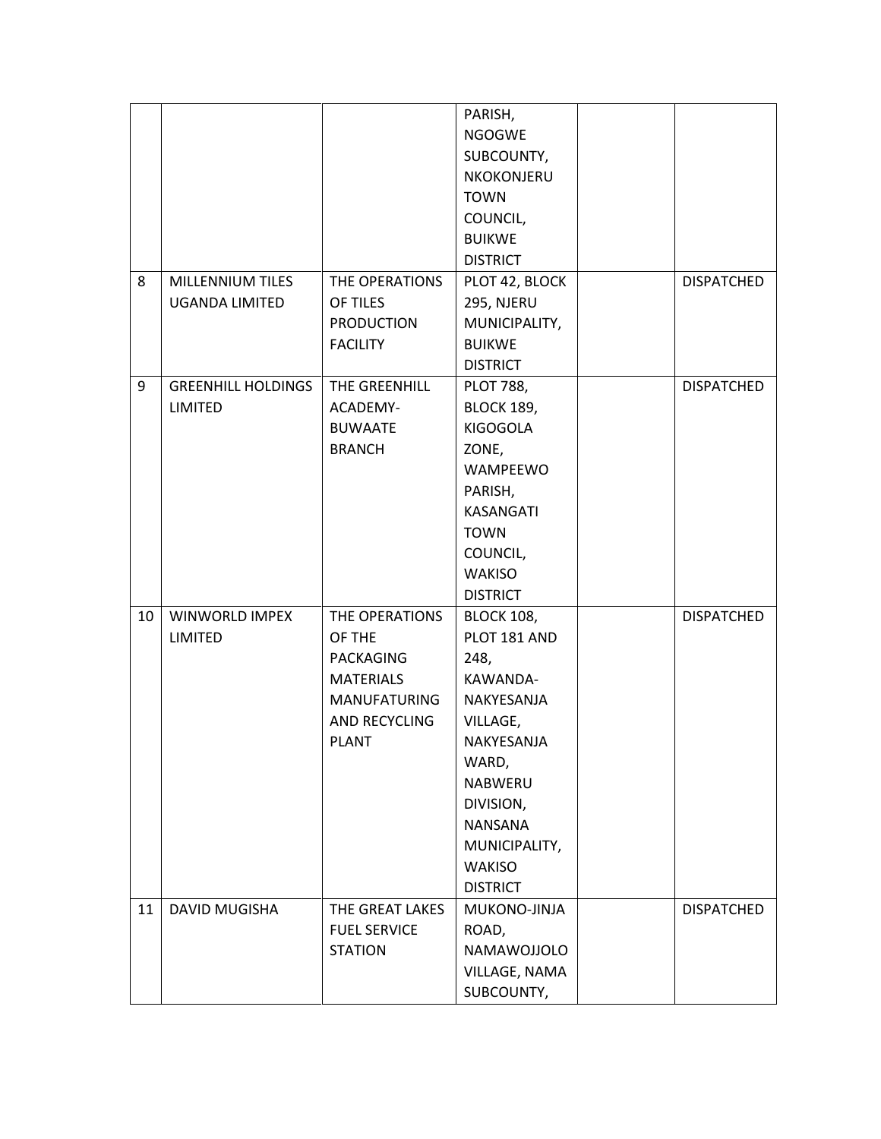|    |                           |                            | PARISH,           |                   |
|----|---------------------------|----------------------------|-------------------|-------------------|
|    |                           |                            | <b>NGOGWE</b>     |                   |
|    |                           |                            | SUBCOUNTY,        |                   |
|    |                           |                            | NKOKONJERU        |                   |
|    |                           |                            | <b>TOWN</b>       |                   |
|    |                           |                            | COUNCIL,          |                   |
|    |                           |                            | <b>BUIKWE</b>     |                   |
|    |                           |                            | <b>DISTRICT</b>   |                   |
|    |                           |                            |                   |                   |
| 8  | MILLENNIUM TILES          | THE OPERATIONS<br>OF TILES | PLOT 42, BLOCK    | <b>DISPATCHED</b> |
|    | <b>UGANDA LIMITED</b>     |                            | 295, NJERU        |                   |
|    |                           | <b>PRODUCTION</b>          | MUNICIPALITY,     |                   |
|    |                           | <b>FACILITY</b>            | <b>BUIKWE</b>     |                   |
|    |                           |                            | <b>DISTRICT</b>   |                   |
| 9  | <b>GREENHILL HOLDINGS</b> | THE GREENHILL              | <b>PLOT 788,</b>  | <b>DISPATCHED</b> |
|    | LIMITED                   | ACADEMY-                   | <b>BLOCK 189,</b> |                   |
|    |                           | <b>BUWAATE</b>             | <b>KIGOGOLA</b>   |                   |
|    |                           | <b>BRANCH</b>              | ZONE,             |                   |
|    |                           |                            | WAMPEEWO          |                   |
|    |                           |                            | PARISH,           |                   |
|    |                           |                            | KASANGATI         |                   |
|    |                           |                            | <b>TOWN</b>       |                   |
|    |                           |                            | COUNCIL,          |                   |
|    |                           |                            | <b>WAKISO</b>     |                   |
|    |                           |                            | <b>DISTRICT</b>   |                   |
| 10 | WINWORLD IMPEX            | THE OPERATIONS             | <b>BLOCK 108,</b> | <b>DISPATCHED</b> |
|    | LIMITED                   | OF THE                     | PLOT 181 AND      |                   |
|    |                           | PACKAGING                  | 248,              |                   |
|    |                           | <b>MATERIALS</b>           | KAWANDA-          |                   |
|    |                           | <b>MANUFATURING</b>        | NAKYESANJA        |                   |
|    |                           | AND RECYCLING              | VILLAGE,          |                   |
|    |                           | <b>PLANT</b>               | NAKYESANJA        |                   |
|    |                           |                            | WARD,             |                   |
|    |                           |                            | NABWERU           |                   |
|    |                           |                            | DIVISION,         |                   |
|    |                           |                            | NANSANA           |                   |
|    |                           |                            | MUNICIPALITY,     |                   |
|    |                           |                            | <b>WAKISO</b>     |                   |
|    |                           |                            | <b>DISTRICT</b>   |                   |
| 11 | <b>DAVID MUGISHA</b>      | THE GREAT LAKES            | MUKONO-JINJA      | <b>DISPATCHED</b> |
|    |                           | <b>FUEL SERVICE</b>        | ROAD,             |                   |
|    |                           | <b>STATION</b>             | NAMAWOJJOLO       |                   |
|    |                           |                            | VILLAGE, NAMA     |                   |
|    |                           |                            | SUBCOUNTY,        |                   |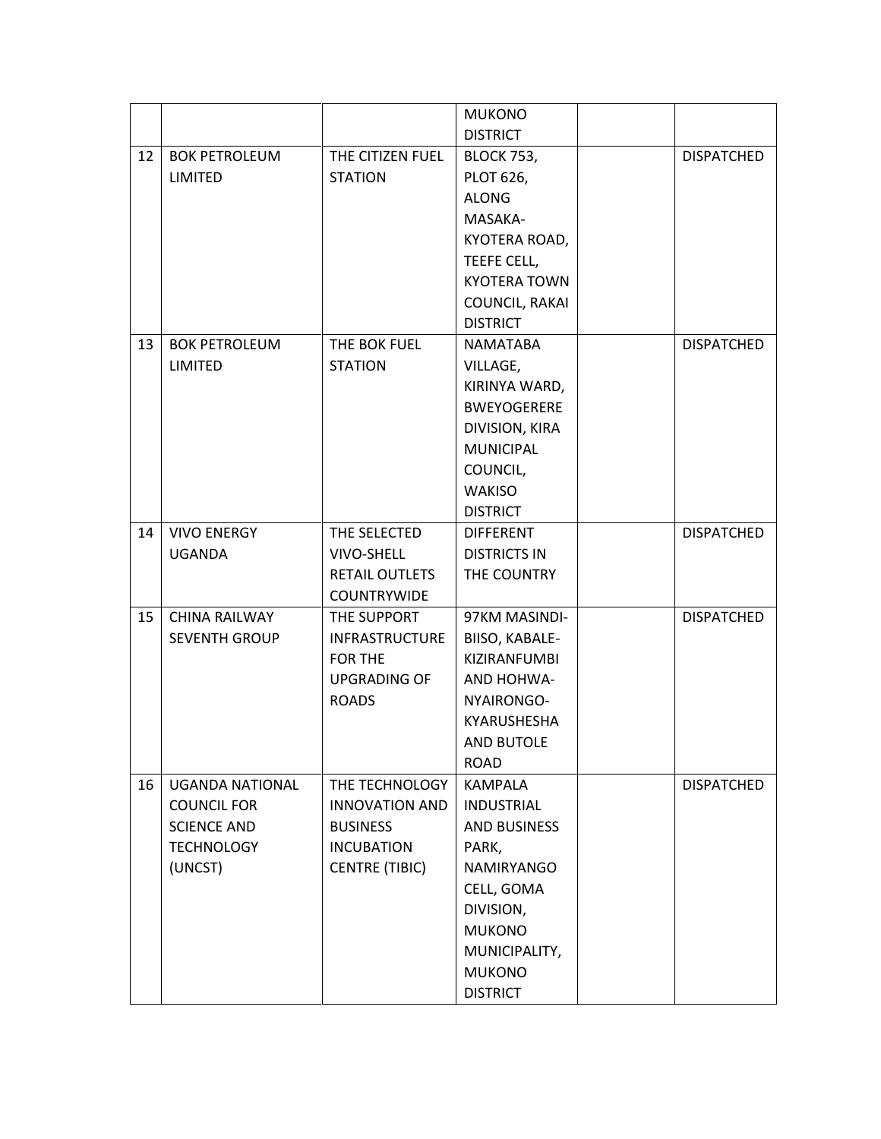|    |                        |                       | <b>MUKONO</b>       |                   |
|----|------------------------|-----------------------|---------------------|-------------------|
|    |                        |                       | <b>DISTRICT</b>     |                   |
| 12 | <b>BOK PETROLEUM</b>   | THE CITIZEN FUEL      | <b>BLOCK 753,</b>   | <b>DISPATCHED</b> |
|    | LIMITED                | <b>STATION</b>        | <b>PLOT 626,</b>    |                   |
|    |                        |                       | <b>ALONG</b>        |                   |
|    |                        |                       | MASAKA-             |                   |
|    |                        |                       | KYOTERA ROAD,       |                   |
|    |                        |                       | TEEFE CELL,         |                   |
|    |                        |                       | <b>KYOTERA TOWN</b> |                   |
|    |                        |                       | COUNCIL, RAKAI      |                   |
|    |                        |                       | <b>DISTRICT</b>     |                   |
| 13 | <b>BOK PETROLEUM</b>   | THE BOK FUEL          | NAMATABA            | <b>DISPATCHED</b> |
|    | LIMITED                | <b>STATION</b>        | VILLAGE,            |                   |
|    |                        |                       | KIRINYA WARD,       |                   |
|    |                        |                       | <b>BWEYOGERERE</b>  |                   |
|    |                        |                       | DIVISION, KIRA      |                   |
|    |                        |                       | <b>MUNICIPAL</b>    |                   |
|    |                        |                       | COUNCIL,            |                   |
|    |                        |                       | <b>WAKISO</b>       |                   |
|    |                        |                       | <b>DISTRICT</b>     |                   |
| 14 | <b>VIVO ENERGY</b>     | THE SELECTED          | <b>DIFFERENT</b>    | <b>DISPATCHED</b> |
|    | <b>UGANDA</b>          | <b>VIVO-SHELL</b>     | <b>DISTRICTS IN</b> |                   |
|    |                        | <b>RETAIL OUTLETS</b> | THE COUNTRY         |                   |
|    |                        | <b>COUNTRYWIDE</b>    |                     |                   |
| 15 | <b>CHINA RAILWAY</b>   | THE SUPPORT           | 97KM MASINDI-       | <b>DISPATCHED</b> |
|    | <b>SEVENTH GROUP</b>   | <b>INFRASTRUCTURE</b> | BIISO, KABALE-      |                   |
|    |                        | FOR THE               | KIZIRANFUMBI        |                   |
|    |                        | <b>UPGRADING OF</b>   | AND HOHWA-          |                   |
|    |                        | <b>ROADS</b>          | NYAIRONGO-          |                   |
|    |                        |                       | KYARUSHESHA         |                   |
|    |                        |                       | <b>AND BUTOLE</b>   |                   |
|    |                        |                       | <b>ROAD</b>         |                   |
| 16 | <b>UGANDA NATIONAL</b> | THE TECHNOLOGY        | <b>KAMPALA</b>      | <b>DISPATCHED</b> |
|    | <b>COUNCIL FOR</b>     | <b>INNOVATION AND</b> | <b>INDUSTRIAL</b>   |                   |
|    | <b>SCIENCE AND</b>     | <b>BUSINESS</b>       | AND BUSINESS        |                   |
|    | <b>TECHNOLOGY</b>      | <b>INCUBATION</b>     | PARK,               |                   |
|    | (UNCST)                | <b>CENTRE (TIBIC)</b> | <b>NAMIRYANGO</b>   |                   |
|    |                        |                       | CELL, GOMA          |                   |
|    |                        |                       | DIVISION,           |                   |
|    |                        |                       | <b>MUKONO</b>       |                   |
|    |                        |                       | MUNICIPALITY,       |                   |
|    |                        |                       | <b>MUKONO</b>       |                   |
|    |                        |                       | <b>DISTRICT</b>     |                   |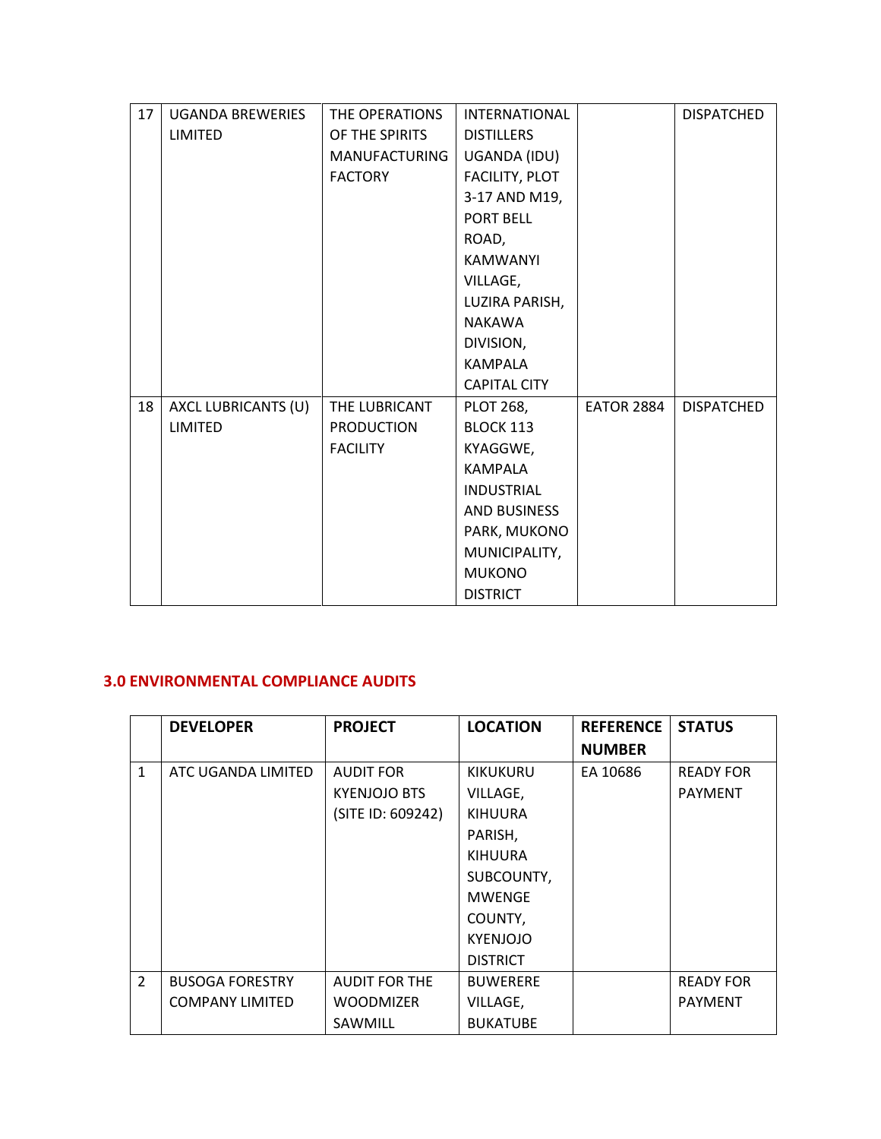| 17 | <b>UGANDA BREWERIES</b> | THE OPERATIONS       | INTERNATIONAL       |                   | <b>DISPATCHED</b> |
|----|-------------------------|----------------------|---------------------|-------------------|-------------------|
|    | <b>LIMITED</b>          | OF THE SPIRITS       | <b>DISTILLERS</b>   |                   |                   |
|    |                         | <b>MANUFACTURING</b> | UGANDA (IDU)        |                   |                   |
|    |                         | <b>FACTORY</b>       | FACILITY, PLOT      |                   |                   |
|    |                         |                      | 3-17 AND M19,       |                   |                   |
|    |                         |                      | PORT BELL           |                   |                   |
|    |                         |                      | ROAD,               |                   |                   |
|    |                         |                      | <b>KAMWANYI</b>     |                   |                   |
|    |                         |                      | VILLAGE,            |                   |                   |
|    |                         |                      | LUZIRA PARISH,      |                   |                   |
|    |                         |                      | <b>NAKAWA</b>       |                   |                   |
|    |                         |                      | DIVISION,           |                   |                   |
|    |                         |                      | <b>KAMPALA</b>      |                   |                   |
|    |                         |                      | <b>CAPITAL CITY</b> |                   |                   |
| 18 | AXCL LUBRICANTS (U)     | THE LUBRICANT        | <b>PLOT 268,</b>    | <b>EATOR 2884</b> | <b>DISPATCHED</b> |
|    | LIMITED                 | <b>PRODUCTION</b>    | BLOCK 113           |                   |                   |
|    |                         | <b>FACILITY</b>      | KYAGGWE,            |                   |                   |
|    |                         |                      | <b>KAMPALA</b>      |                   |                   |
|    |                         |                      | <b>INDUSTRIAL</b>   |                   |                   |
|    |                         |                      | <b>AND BUSINESS</b> |                   |                   |
|    |                         |                      | PARK, MUKONO        |                   |                   |
|    |                         |                      | MUNICIPALITY,       |                   |                   |
|    |                         |                      | <b>MUKONO</b>       |                   |                   |
|    |                         |                      | <b>DISTRICT</b>     |                   |                   |

## **3.0 ENVIRONMENTAL COMPLIANCE AUDITS**

|                | <b>DEVELOPER</b>       | <b>PROJECT</b>       | <b>LOCATION</b> | <b>REFERENCE</b> | <b>STATUS</b>    |
|----------------|------------------------|----------------------|-----------------|------------------|------------------|
|                |                        |                      |                 | <b>NUMBER</b>    |                  |
| 1              | ATC UGANDA LIMITED     | <b>AUDIT FOR</b>     | <b>KIKUKURU</b> | EA 10686         | <b>READY FOR</b> |
|                |                        | <b>KYENJOJO BTS</b>  | VILLAGE,        |                  | <b>PAYMENT</b>   |
|                |                        | (SITE ID: 609242)    | <b>KIHUURA</b>  |                  |                  |
|                |                        |                      | PARISH,         |                  |                  |
|                |                        |                      | <b>KIHUURA</b>  |                  |                  |
|                |                        |                      | SUBCOUNTY,      |                  |                  |
|                |                        |                      | <b>MWENGE</b>   |                  |                  |
|                |                        |                      | COUNTY,         |                  |                  |
|                |                        |                      | <b>KYENJOJO</b> |                  |                  |
|                |                        |                      | <b>DISTRICT</b> |                  |                  |
| $\overline{2}$ | <b>BUSOGA FORESTRY</b> | <b>AUDIT FOR THE</b> | <b>BUWERERE</b> |                  | <b>READY FOR</b> |
|                | <b>COMPANY LIMITED</b> | <b>WOODMIZER</b>     | VILLAGE,        |                  | <b>PAYMENT</b>   |
|                |                        | SAWMILL              | <b>BUKATUBE</b> |                  |                  |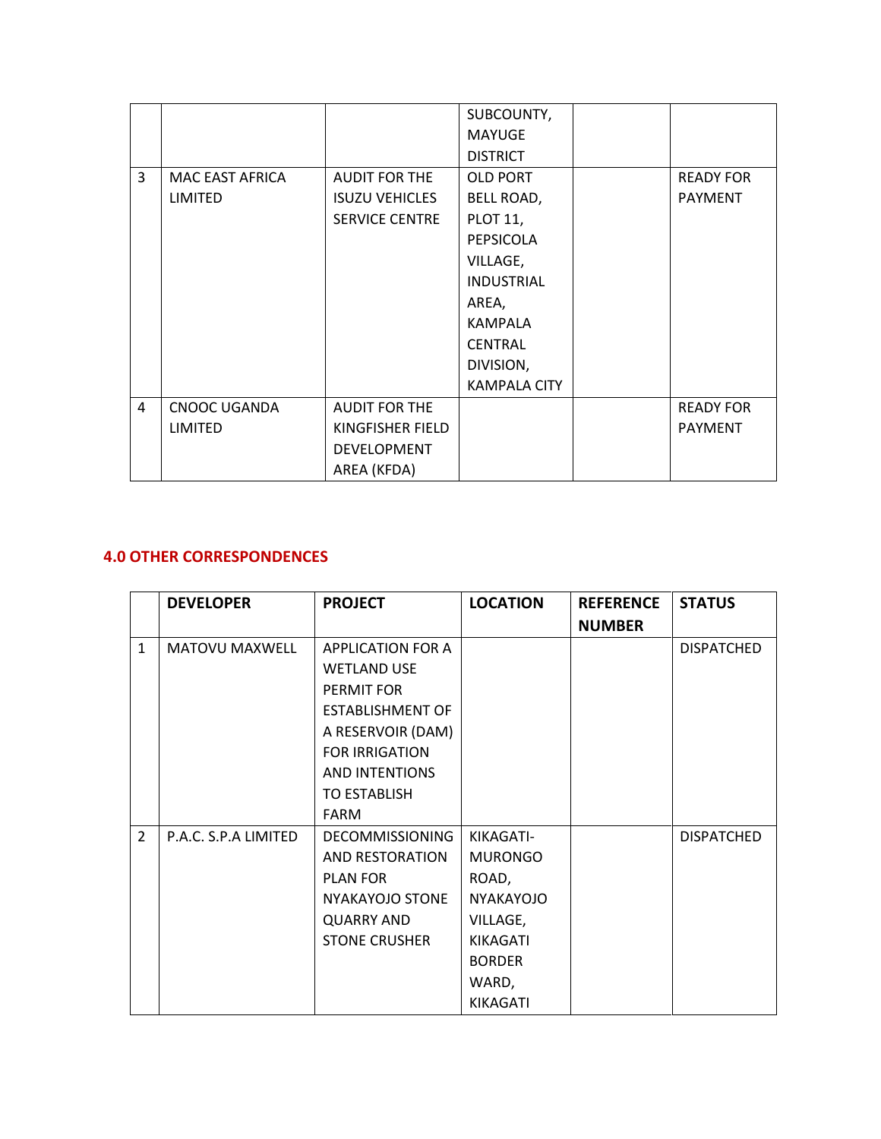|   |                     |                       | SUBCOUNTY,          |                  |
|---|---------------------|-----------------------|---------------------|------------------|
|   |                     |                       | <b>MAYUGE</b>       |                  |
|   |                     |                       | <b>DISTRICT</b>     |                  |
| 3 | MAC EAST AFRICA     | <b>AUDIT FOR THE</b>  | <b>OLD PORT</b>     | <b>READY FOR</b> |
|   | LIMITED             | <b>ISUZU VEHICLES</b> | BELL ROAD,          | <b>PAYMENT</b>   |
|   |                     | <b>SERVICE CENTRE</b> | <b>PLOT 11,</b>     |                  |
|   |                     |                       | PEPSICOLA           |                  |
|   |                     |                       | VILLAGE,            |                  |
|   |                     |                       | <b>INDUSTRIAL</b>   |                  |
|   |                     |                       | AREA,               |                  |
|   |                     |                       | KAMPALA             |                  |
|   |                     |                       | <b>CENTRAL</b>      |                  |
|   |                     |                       | DIVISION,           |                  |
|   |                     |                       | <b>KAMPALA CITY</b> |                  |
| 4 | <b>CNOOC UGANDA</b> | <b>AUDIT FOR THE</b>  |                     | <b>READY FOR</b> |
|   | LIMITED             | KINGFISHER FIELD      |                     | <b>PAYMENT</b>   |
|   |                     | DEVELOPMENT           |                     |                  |
|   |                     | AREA (KFDA)           |                     |                  |

## **4.0 OTHER CORRESPONDENCES**

|                | <b>DEVELOPER</b>     | <b>PROJECT</b>           | <b>LOCATION</b>  | <b>REFERENCE</b> | <b>STATUS</b>     |
|----------------|----------------------|--------------------------|------------------|------------------|-------------------|
|                |                      |                          |                  | <b>NUMBER</b>    |                   |
| $\mathbf{1}$   | MATOVU MAXWELL       | <b>APPLICATION FOR A</b> |                  |                  | <b>DISPATCHED</b> |
|                |                      | <b>WETLAND USE</b>       |                  |                  |                   |
|                |                      | PERMIT FOR               |                  |                  |                   |
|                |                      | <b>ESTABLISHMENT OF</b>  |                  |                  |                   |
|                |                      | A RESERVOIR (DAM)        |                  |                  |                   |
|                |                      | <b>FOR IRRIGATION</b>    |                  |                  |                   |
|                |                      | AND INTENTIONS           |                  |                  |                   |
|                |                      | <b>TO ESTABLISH</b>      |                  |                  |                   |
|                |                      | <b>FARM</b>              |                  |                  |                   |
| $\overline{2}$ | P.A.C. S.P.A LIMITED | <b>DECOMMISSIONING</b>   | KIKAGATI-        |                  | <b>DISPATCHED</b> |
|                |                      | AND RESTORATION          | <b>MURONGO</b>   |                  |                   |
|                |                      | PLAN FOR                 | ROAD,            |                  |                   |
|                |                      | NYAKAYOJO STONE          | <b>NYAKAYOJO</b> |                  |                   |
|                |                      | <b>QUARRY AND</b>        | VILLAGE,         |                  |                   |
|                |                      | <b>STONE CRUSHER</b>     | <b>KIKAGATI</b>  |                  |                   |
|                |                      |                          | <b>BORDER</b>    |                  |                   |
|                |                      |                          | WARD,            |                  |                   |
|                |                      |                          | <b>KIKAGATI</b>  |                  |                   |